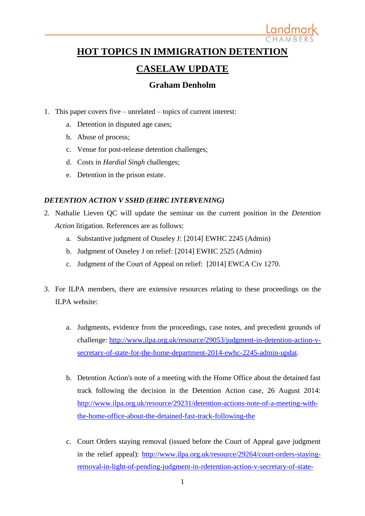

## **HOT TOPICS IN IMMIGRATION DETENTION**

# **CASELAW UPDATE**

## **Graham Denholm**

- 1. This paper covers five unrelated topics of current interest:
	- a. Detention in disputed age cases;
	- b. Abuse of process;
	- c. Venue for post-release detention challenges;
	- d. Costs in *Hardial Singh* challenges;
	- e. Detention in the prison estate.

### *DETENTION ACTION V SSHD (EHRC INTERVENING)*

- 2. Nathalie Lieven QC will update the seminar on the current position in the *Detention Action* litigation. References are as follows:
	- a. Substantive judgment of Ouseley J: [2014] EWHC 2245 (Admin)
	- b. Judgment of Ouseley J on relief: [2014] EWHC 2525 (Admin)
	- c. Judgment of the Court of Appeal on relief: [2014] EWCA Civ 1270.
- 3. For ILPA members, there are extensive resources relating to these proceedings on the ILPA website:
	- a. Judgments, evidence from the proceedings, case notes, and precedent grounds of challenge: [http://www.ilpa.org.uk/resource/29053/judgment-in-detention-action-v](http://www.ilpa.org.uk/resource/29053/judgment-in-detention-action-v-secretary-of-state-for-the-home-department-2014-ewhc-2245-admin-updat)[secretary-of-state-for-the-home-department-2014-ewhc-2245-admin-updat.](http://www.ilpa.org.uk/resource/29053/judgment-in-detention-action-v-secretary-of-state-for-the-home-department-2014-ewhc-2245-admin-updat)
	- b. Detention Action's note of a meeting with the Home Office about the detained fast track following the decision in the Detention Action case, 26 August 2014: [http://www.ilpa.org.uk/resource/29231/detention-actions-note-of-a-meeting-with](http://www.ilpa.org.uk/resource/29231/detention-actions-note-of-a-meeting-with-the-home-office-about-the-detained-fast-track-following-the)[the-home-office-about-the-detained-fast-track-following-the](http://www.ilpa.org.uk/resource/29231/detention-actions-note-of-a-meeting-with-the-home-office-about-the-detained-fast-track-following-the)
	- c. Court Orders staying removal (issued before the Court of Appeal gave judgment in the relief appeal): [http://www.ilpa.org.uk/resource/29264/court-orders-staying](http://www.ilpa.org.uk/resource/29264/court-orders-staying-removal-in-light-of-pending-judgment-in-rdetention-action-v-secretary-of-state-)[removal-in-light-of-pending-judgment-in-rdetention-action-v-secretary-of-state-](http://www.ilpa.org.uk/resource/29264/court-orders-staying-removal-in-light-of-pending-judgment-in-rdetention-action-v-secretary-of-state-)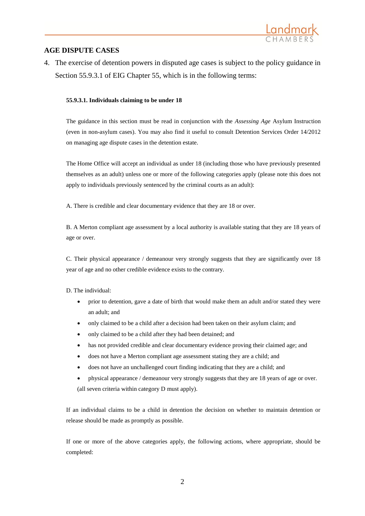

### **AGE DISPUTE CASES**

4. The exercise of detention powers in disputed age cases is subject to the policy guidance in Section 55.9.3.1 of EIG Chapter 55, which is in the following terms:

#### **55.9.3.1. Individuals claiming to be under 18**

The guidance in this section must be read in conjunction with the *Assessing Age* Asylum Instruction (even in non-asylum cases). You may also find it useful to consult Detention Services Order 14/2012 on managing age dispute cases in the detention estate.

The Home Office will accept an individual as under 18 (including those who have previously presented themselves as an adult) unless one or more of the following categories apply (please note this does not apply to individuals previously sentenced by the criminal courts as an adult):

A. There is credible and clear documentary evidence that they are 18 or over.

B. A Merton compliant age assessment by a local authority is available stating that they are 18 years of age or over.

C. Their physical appearance / demeanour very strongly suggests that they are significantly over 18 year of age and no other credible evidence exists to the contrary.

D. The individual:

- prior to detention, gave a date of birth that would make them an adult and/or stated they were an adult; and
- only claimed to be a child after a decision had been taken on their asylum claim; and
- only claimed to be a child after they had been detained; and
- has not provided credible and clear documentary evidence proving their claimed age; and
- does not have a Merton compliant age assessment stating they are a child; and
- does not have an unchallenged court finding indicating that they are a child; and
- physical appearance / demeanour very strongly suggests that they are 18 years of age or over. (all seven criteria within category D must apply).

If an individual claims to be a child in detention the decision on whether to maintain detention or release should be made as promptly as possible.

If one or more of the above categories apply, the following actions, where appropriate, should be completed: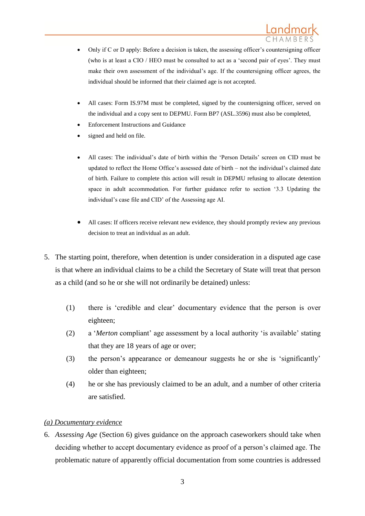- Only if C or D apply: Before a decision is taken, the assessing officer's countersigning officer (who is at least a CIO / HEO must be consulted to act as a 'second pair of eyes'. They must make their own assessment of the individual's age. If the countersigning officer agrees, the individual should be informed that their claimed age is not accepted.
- All cases: Form IS.97M must be completed, signed by the countersigning officer, served on the individual and a copy sent to DEPMU. Form BP7 (ASL.3596) must also be completed,
- Enforcement Instructions and Guidance
- signed and held on file.
- All cases: The individual's date of birth within the 'Person Details' screen on CID must be updated to reflect the Home Office's assessed date of birth – not the individual's claimed date of birth. Failure to complete this action will result in DEPMU refusing to allocate detention space in adult accommodation. For further guidance refer to section '3.3 Updating the individual's case file and CID' of the Assessing age AI.
- All cases: If officers receive relevant new evidence, they should promptly review any previous decision to treat an individual as an adult.
- 5. The starting point, therefore, when detention is under consideration in a disputed age case is that where an individual claims to be a child the Secretary of State will treat that person as a child (and so he or she will not ordinarily be detained) unless:
	- (1) there is 'credible and clear' documentary evidence that the person is over eighteen;
	- (2) a '*Merton* compliant' age assessment by a local authority 'is available' stating that they are 18 years of age or over;
	- (3) the person's appearance or demeanour suggests he or she is 'significantly' older than eighteen;
	- (4) he or she has previously claimed to be an adult, and a number of other criteria are satisfied.

### *(a) Documentary evidence*

6. *Assessing Age* (Section 6) gives guidance on the approach caseworkers should take when deciding whether to accept documentary evidence as proof of a person's claimed age. The problematic nature of apparently official documentation from some countries is addressed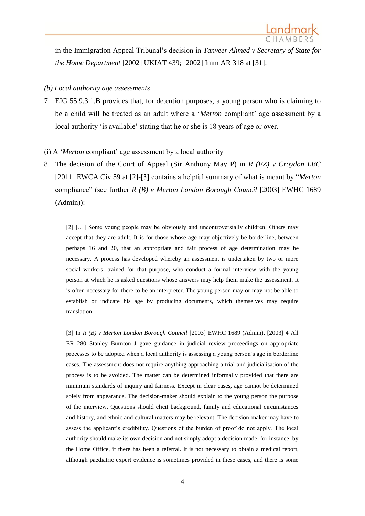

in the Immigration Appeal Tribunal's decision in *Tanveer Ahmed v Secretary of State for the Home Department* [2002] UKIAT 439; [2002] Imm AR 318 at [31].

#### *(b) Local authority age assessments*

7. EIG 55.9.3.1.B provides that, for detention purposes, a young person who is claiming to be a child will be treated as an adult where a '*Merton* compliant' age assessment by a local authority 'is available' stating that he or she is 18 years of age or over.

#### (i) A '*Merton* compliant' age assessment by a local authority

8. The decision of the Court of Appeal (Sir Anthony May P) in *R (FZ) v Croydon LBC* [2011] EWCA Civ 59 at [2]-[3] contains a helpful summary of what is meant by "*Merton* compliance" (see further *R (B) v Merton London Borough Council* [2003] EWHC 1689 (Admin)):

[2] […] Some young people may be obviously and uncontroversially children. Others may accept that they are adult. It is for those whose age may objectively be borderline, between perhaps 16 and 20, that an appropriate and fair process of age determination may be necessary. A process has developed whereby an assessment is undertaken by two or more social workers, trained for that purpose, who conduct a formal interview with the young person at which he is asked questions whose answers may help them make the assessment. It is often necessary for there to be an interpreter. The young person may or may not be able to establish or indicate his age by producing documents, which themselves may require translation.

[3] In *R (B) v Merton London Borough Council* [2003] EWHC 1689 (Admin), [2003] 4 All ER 280 Stanley Burnton J gave guidance in judicial review proceedings on appropriate processes to be adopted when a local authority is assessing a young person's age in borderline cases. The assessment does not require anything approaching a trial and judicialisation of the process is to be avoided. The matter can be determined informally provided that there are minimum standards of inquiry and fairness. Except in clear cases, age cannot be determined solely from appearance. The decision-maker should explain to the young person the purpose of the interview. Questions should elicit background, family and educational circumstances and history, and ethnic and cultural matters may be relevant. The decision-maker may have to assess the applicant's credibility. Questions of the burden of proof do not apply. The local authority should make its own decision and not simply adopt a decision made, for instance, by the Home Office, if there has been a referral. It is not necessary to obtain a medical report, although paediatric expert evidence is sometimes provided in these cases, and there is some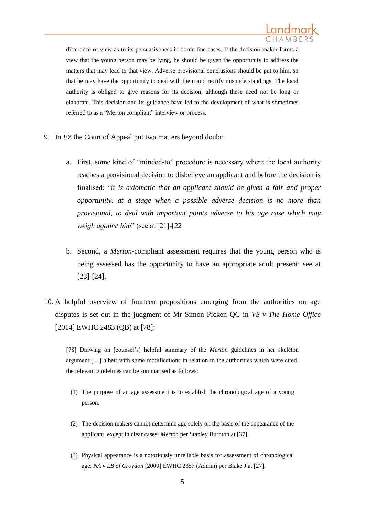

difference of view as to its persuasiveness in borderline cases. If the decision-maker forms a view that the young person may be lying, he should be given the opportunity to address the matters that may lead to that view. Adverse provisional conclusions should be put to him, so that he may have the opportunity to deal with them and rectify misunderstandings. The local authority is obliged to give reasons for its decision, although these need not be long or elaborate. This decision and its guidance have led to the development of what is sometimes referred to as a "Merton compliant" interview or process.

- 9. In *FZ* the Court of Appeal put two matters beyond doubt:
	- a. First, some kind of "minded-to" procedure is necessary where the local authority reaches a provisional decision to disbelieve an applicant and before the decision is finalised: "*it is axiomatic that an applicant should be given a fair and proper opportunity, at a stage when a possible adverse decision is no more than provisional, to deal with important points adverse to his age case which may weigh against him*" (see at [21]-[22
	- b. Second, a *Merton*-compliant assessment requires that the young person who is being assessed has the opportunity to have an appropriate adult present: see at [23]-[24].
- 10. A helpful overview of fourteen propositions emerging from the authorities on age disputes is set out in the judgment of Mr Simon Picken QC in *VS v The Home Office* [2014] EWHC 2483 (QB) at [78]:

[78] Drawing on [counsel's] helpful summary of the *Merton* guidelines in her skeleton argument […] albeit with some modifications in relation to the authorities which were cited, the relevant guidelines can be summarised as follows:

- (1) The purpose of an age assessment is to establish the chronological age of a young person.
- (2) The decision makers cannot determine age solely on the basis of the appearance of the applicant, except in clear cases: *Merton* per Stanley Burnton at [37].
- (3) Physical appearance is a notoriously unreliable basis for assessment of chronological age: *NA v LB of Croydon* [2009] EWHC 2357 (Admin) per Blake J at [27].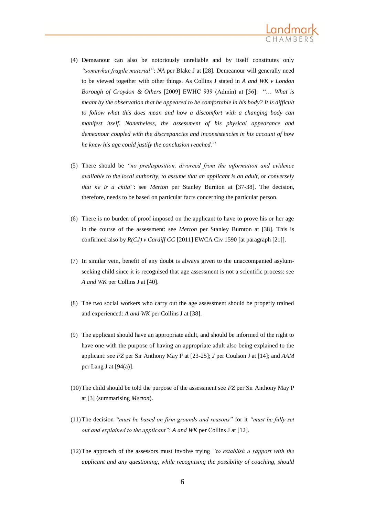

- (4) Demeanour can also be notoriously unreliable and by itself constitutes only *"somewhat fragile material"*: *NA* per Blake J at [28]. Demeanour will generally need to be viewed together with other things. As Collins J stated in *A and WK v London Borough of Croydon & Others* [2009] EWHC 939 (Admin) at [56]: "… *What is meant by the observation that he appeared to be comfortable in his body? It is difficult to follow what this does mean and how a discomfort with a changing body can manifest itself. Nonetheless, the assessment of his physical appearance and demeanour coupled with the discrepancies and inconsistencies in his account of how he knew his age could justify the conclusion reached."*
- (5) There should be *"no predisposition, divorced from the information and evidence available to the local authority, to assume that an applicant is an adult, or conversely that he is a child"*: see *Merton* per Stanley Burnton at [37-38]. The decision, therefore, needs to be based on particular facts concerning the particular person.
- (6) There is no burden of proof imposed on the applicant to have to prove his or her age in the course of the assessment: see *Merton* per Stanley Burnton at [38]. This is confirmed also by *R(CJ) v Cardiff CC* [2011] EWCA Civ 1590 [at paragraph [21]].
- (7) In similar vein, benefit of any doubt is always given to the unaccompanied asylumseeking child since it is recognised that age assessment is not a scientific process: see *A and WK* per Collins J at [40].
- (8) The two social workers who carry out the age assessment should be properly trained and experienced: *A and WK* per Collins J at [38].
- (9) The applicant should have an appropriate adult, and should be informed of the right to have one with the purpose of having an appropriate adult also being explained to the applicant: see *FZ* per Sir Anthony May P at [23-25]; *J* per Coulson J at [14]; and *AAM*  per Lang J at [94(a)].
- (10) The child should be told the purpose of the assessment see  $FZ$  per Sir Anthony May P at [3] (summarising *Merton*).
- (11)The decision *"must be based on firm grounds and reasons"* for it *"must be fully set out and explained to the applicant"*: *A and WK* per Collins J at [12].
- (12)The approach of the assessors must involve trying *"to establish a rapport with the applicant and any questioning, while recognising the possibility of coaching, should*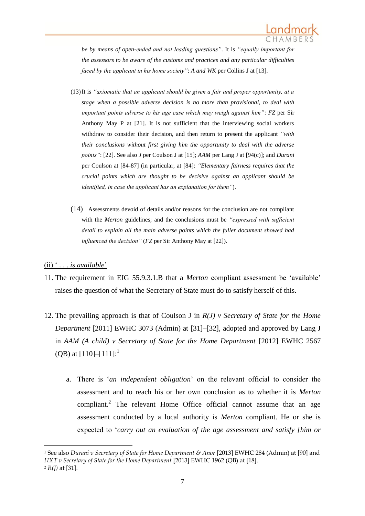

*be by means of open-ended and not leading questions"*. It is *"equally important for the assessors to be aware of the customs and practices and any particular difficulties faced by the applicant in his home society"*: *A and WK* per Collins J at [13].

- (13)It is *"axiomatic that an applicant should be given a fair and proper opportunity, at a stage when a possible adverse decision is no more than provisional, to deal with important points adverse to his age case which may weigh against him"*: *FZ* per Sir Anthony May P at [21]. It is not sufficient that the interviewing social workers withdraw to consider their decision, and then return to present the applicant *"with their conclusions without first giving him the opportunity to deal with the adverse points"*: [22]. See also *J* per Coulson J at [15]; *AAM* per Lang J at [94(c)]; and *Durani* per Coulson at [84-87] (in particular, at [84]: *"Elementary fairness requires that the crucial points which are thought to be decisive against an applicant should be identified, in case the applicant has an explanation for them"*).
- (14) Assessments devoid of details and/or reasons for the conclusion are not compliant with the *Merton* guidelines; and the conclusions must be *"expressed with sufficient detail to explain all the main adverse points which the fuller document showed had influenced the decision"* (*FZ* per Sir Anthony May at [22]).

### (ii) ' . . . *is available*'

1

- 11. The requirement in EIG 55.9.3.1.B that a *Merton* compliant assessment be 'available' raises the question of what the Secretary of State must do to satisfy herself of this.
- 12. The prevailing approach is that of Coulson J in *R(J) v Secretary of State for the Home Department* [2011] EWHC 3073 (Admin) at [31]–[32]*,* adopted and approved by Lang J in *AAM* (A child) v Secretary of State for the Home Department [2012] EWHC 2567 (QB) at  $[110]$ - $[111]$ :<sup>1</sup>
	- a. There is '*an independent obligation*' on the relevant official to consider the assessment and to reach his or her own conclusion as to whether it is *Merton* compliant.<sup>2</sup> The relevant Home Office official cannot assume that an age assessment conducted by a local authority is *Merton* compliant. He or she is expected to '*carry out an evaluation of the age assessment and satisfy [him or*

<sup>1</sup> See also *Durani v Secretary of State for Home Department & Anor* [2013] EWHC 284 (Admin) at [90] and *HXT v Secretary of State for the Home Department* [2013] EWHC 1962 (QB) at [18]. <sup>2</sup> *R(J)* at [31].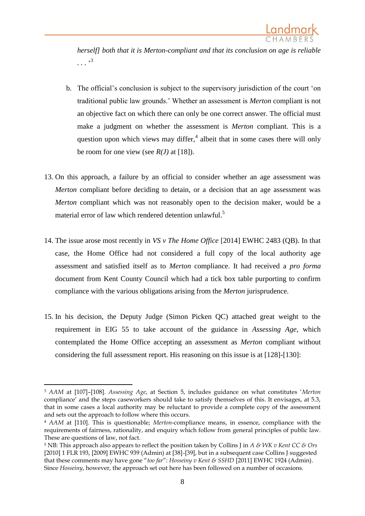

*herself] both that it is Merton-compliant and that its conclusion on age is reliable . . .* ' 3

- b. The official's conclusion is subject to the supervisory jurisdiction of the court 'on traditional public law grounds.' Whether an assessment is *Merton* compliant is not an objective fact on which there can only be one correct answer. The official must make a judgment on whether the assessment is *Merton* compliant. This is a question upon which views may differ, $4$  albeit that in some cases there will only be room for one view (see  $R(J)$  at [18]).
- 13. On this approach, a failure by an official to consider whether an age assessment was *Merton* compliant before deciding to detain, or a decision that an age assessment was *Merton* compliant which was not reasonably open to the decision maker, would be a material error of law which rendered detention unlawful.<sup>5</sup>
- 14. The issue arose most recently in *VS v The Home Office* [2014] EWHC 2483 (QB). In that case, the Home Office had not considered a full copy of the local authority age assessment and satisfied itself as to *Merton* compliance. It had received a *pro forma* document from Kent County Council which had a tick box table purporting to confirm compliance with the various obligations arising from the *Merton* jurisprudence.
- 15. In his decision, the Deputy Judge (Simon Picken QC) attached great weight to the requirement in EIG 55 to take account of the guidance in *Assessing Age*, which contemplated the Home Office accepting an assessment as *Merton* compliant without considering the full assessment report. His reasoning on this issue is at [128]-[130]:

1

<sup>3</sup> *AAM* at [107]–[108]. *Assessing Age*, at Section 5, includes guidance on what constitutes '*Merton*  compliance' and the steps caseworkers should take to satisfy themselves of this. It envisages, at 5.3, that in some cases a local authority may be reluctant to provide a complete copy of the assessment and sets out the approach to follow where this occurs.

<sup>4</sup> *AAM* at [110]. This is questionable; *Merton*-compliance means, in essence, compliance with the requirements of fairness, rationality, and enquiry which follow from general principles of public law. These are questions of law, not fact.

<sup>5</sup> NB: This approach also appears to reflect the position taken by Collins J in *A & WK v Kent CC & Ors* [2010] 1 FLR 193, [2009] EWHC 939 (Admin) at [38]-[39], but in a subsequent case Collins J suggested that these comments may have gone "*too far*": *Hosseiny v Kent & SSHD* [2011] EWHC 1924 (Admin). Since *Hosseiny*, however, the approach set out here has been followed on a number of occasions.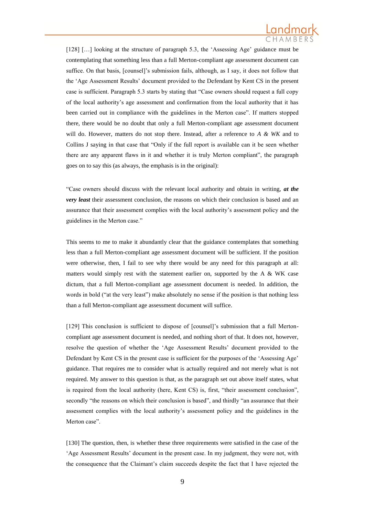

[128] […] looking at the structure of paragraph 5.3, the 'Assessing Age' guidance must be contemplating that something less than a full Merton-compliant age assessment document can suffice. On that basis, [counsel]'s submission fails, although, as I say, it does not follow that the 'Age Assessment Results' document provided to the Defendant by Kent CS in the present case is sufficient. Paragraph 5.3 starts by stating that "Case owners should request a full copy of the local authority's age assessment and confirmation from the local authority that it has been carried out in compliance with the guidelines in the Merton case". If matters stopped there, there would be no doubt that only a full Merton-compliant age assessment document will do. However, matters do not stop there. Instead, after a reference to *A & WK* and to Collins J saying in that case that "Only if the full report is available can it be seen whether there are any apparent flaws in it and whether it is truly Merton compliant", the paragraph goes on to say this (as always, the emphasis is in the original):

"Case owners should discuss with the relevant local authority and obtain in writing, *at the very least* their assessment conclusion, the reasons on which their conclusion is based and an assurance that their assessment complies with the local authority's assessment policy and the guidelines in the Merton case."

This seems to me to make it abundantly clear that the guidance contemplates that something less than a full Merton-compliant age assessment document will be sufficient. If the position were otherwise, then, I fail to see why there would be any need for this paragraph at all: matters would simply rest with the statement earlier on, supported by the A  $\&$  WK case dictum, that a full Merton-compliant age assessment document is needed. In addition, the words in bold ("at the very least") make absolutely no sense if the position is that nothing less than a full Merton-compliant age assessment document will suffice.

[129] This conclusion is sufficient to dispose of [counsel]'s submission that a full Mertoncompliant age assessment document is needed, and nothing short of that. It does not, however, resolve the question of whether the 'Age Assessment Results' document provided to the Defendant by Kent CS in the present case is sufficient for the purposes of the 'Assessing Age' guidance. That requires me to consider what is actually required and not merely what is not required. My answer to this question is that, as the paragraph set out above itself states, what is required from the local authority (here, Kent CS) is, first, "their assessment conclusion", secondly "the reasons on which their conclusion is based", and thirdly "an assurance that their assessment complies with the local authority's assessment policy and the guidelines in the Merton case".

[130] The question, then, is whether these three requirements were satisfied in the case of the 'Age Assessment Results' document in the present case. In my judgment, they were not, with the consequence that the Claimant's claim succeeds despite the fact that I have rejected the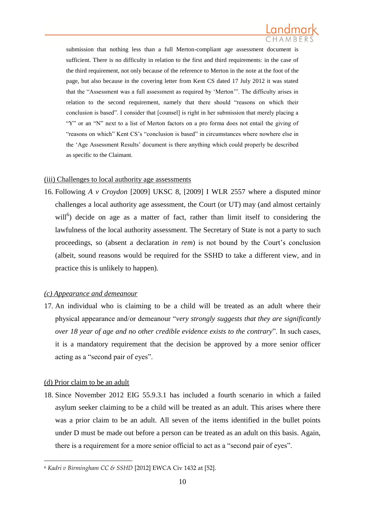

submission that nothing less than a full Merton-compliant age assessment document is sufficient. There is no difficulty in relation to the first and third requirements: in the case of the third requirement, not only because of the reference to Merton in the note at the foot of the page, but also because in the covering letter from Kent CS dated 17 July 2012 it was stated that the "Assessment was a full assessment as required by 'Merton'". The difficulty arises in relation to the second requirement, namely that there should "reasons on which their conclusion is based". I consider that [counsel] is right in her submission that merely placing a "Y" or an "N" next to a list of Merton factors on a pro forma does not entail the giving of "reasons on which" Kent CS's "conclusion is based" in circumstances where nowhere else in the 'Age Assessment Results' document is there anything which could properly be described as specific to the Claimant.

#### (iii) Challenges to local authority age assessments

16. Following *A v Croydon* [2009] UKSC 8, [2009] I WLR 2557 where a disputed minor challenges a local authority age assessment, the Court (or UT) may (and almost certainly will<sup>6</sup>) decide on age as a matter of fact, rather than limit itself to considering the lawfulness of the local authority assessment. The Secretary of State is not a party to such proceedings, so (absent a declaration *in rem*) is not bound by the Court's conclusion (albeit, sound reasons would be required for the SSHD to take a different view, and in practice this is unlikely to happen).

### *(c) Appearance and demeanour*

17. An individual who is claiming to be a child will be treated as an adult where their physical appearance and/or demeanour "*very strongly suggests that they are significantly over 18 year of age and no other credible evidence exists to the contrary*". In such cases, it is a mandatory requirement that the decision be approved by a more senior officer acting as a "second pair of eyes".

### (d) Prior claim to be an adult

<u>.</u>

18. Since November 2012 EIG 55.9.3.1 has included a fourth scenario in which a failed asylum seeker claiming to be a child will be treated as an adult. This arises where there was a prior claim to be an adult. All seven of the items identified in the bullet points under D must be made out before a person can be treated as an adult on this basis. Again, there is a requirement for a more senior official to act as a "second pair of eyes".

<sup>6</sup> *Kadri v Birmingham CC & SSHD* [2012] EWCA Civ 1432 at [52].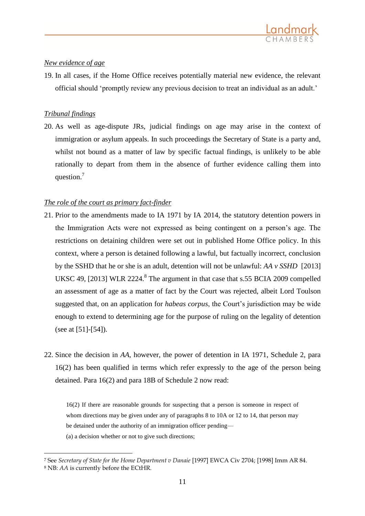### *New evidence of age*

19. In all cases, if the Home Office receives potentially material new evidence, the relevant official should 'promptly review any previous decision to treat an individual as an adult.'

### *Tribunal findings*

<u>.</u>

20. As well as age-dispute JRs, judicial findings on age may arise in the context of immigration or asylum appeals. In such proceedings the Secretary of State is a party and, whilst not bound as a matter of law by specific factual findings, is unlikely to be able rationally to depart from them in the absence of further evidence calling them into question.<sup>7</sup>

### *The role of the court as primary fact-finder*

- 21. Prior to the amendments made to IA 1971 by IA 2014, the statutory detention powers in the Immigration Acts were not expressed as being contingent on a person's age. The restrictions on detaining children were set out in published Home Office policy. In this context, where a person is detained following a lawful, but factually incorrect, conclusion by the SSHD that he or she is an adult, detention will not be unlawful: *AA v SSHD* [2013] UKSC 49, [2013] WLR 2224.<sup>8</sup> The argument in that case that s.55 BCIA 2009 compelled an assessment of age as a matter of fact by the Court was rejected, albeit Lord Toulson suggested that, on an application for *habeas corpus*, the Court's jurisdiction may be wide enough to extend to determining age for the purpose of ruling on the legality of detention (see at [51]-[54]).
- 22. Since the decision in *AA,* however, the power of detention in IA 1971, Schedule 2, para 16(2) has been qualified in terms which refer expressly to the age of the person being detained. Para 16(2) and para 18B of Schedule 2 now read:

16(2) If there are reasonable grounds for suspecting that a person is someone in respect of whom directions may be given under any of paragraphs 8 to 10A or 12 to 14, that person may be detained under the authority of an immigration officer pending— (a) a decision whether or not to give such directions;

<sup>7</sup> See *Secretary of State for the Home Department v Danaie* [1997] EWCA Civ 2704; [1998] Imm AR 84. <sup>8</sup> NB: *AA* is currently before the ECtHR.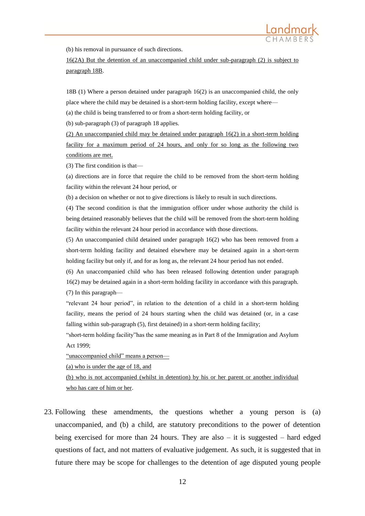(b) his removal in pursuance of such directions.

16(2A) But the detention of an unaccompanied child under sub-paragraph (2) is subject to paragraph 18B.

18B (1) Where a person detained under paragraph 16(2) is an unaccompanied child, the only place where the child may be detained is a short-term holding facility, except where—

(a) the child is being transferred to or from a short-term holding facility, or

(b) sub-paragraph (3) of paragraph 18 applies.

(2) An unaccompanied child may be detained under paragraph 16(2) in a short-term holding facility for a maximum period of 24 hours, and only for so long as the following two conditions are met.

(3) The first condition is that—

(a) directions are in force that require the child to be removed from the short-term holding facility within the relevant 24 hour period, or

(b) a decision on whether or not to give directions is likely to result in such directions.

(4) The second condition is that the immigration officer under whose authority the child is being detained reasonably believes that the child will be removed from the short-term holding facility within the relevant 24 hour period in accordance with those directions.

(5) An unaccompanied child detained under paragraph 16(2) who has been removed from a short-term holding facility and detained elsewhere may be detained again in a short-term holding facility but only if, and for as long as, the relevant 24 hour period has not ended.

(6) An unaccompanied child who has been released following detention under paragraph 16(2) may be detained again in a short-term holding facility in accordance with this paragraph. (7) In this paragraph—

"relevant 24 hour period", in relation to the detention of a child in a short-term holding facility, means the period of 24 hours starting when the child was detained (or, in a case falling within sub-paragraph (5), first detained) in a short-term holding facility;

"short-term holding facility"has the same meaning as in Part 8 of the Immigration and Asylum Act 1999;

"unaccompanied child" means a person—

(a) who is under the age of 18, and

(b) who is not accompanied (whilst in detention) by his or her parent or another individual who has care of him or her.

23. Following these amendments, the questions whether a young person is (a) unaccompanied, and (b) a child, are statutory preconditions to the power of detention being exercised for more than 24 hours. They are also  $-$  it is suggested  $-$  hard edged questions of fact, and not matters of evaluative judgement. As such, it is suggested that in future there may be scope for challenges to the detention of age disputed young people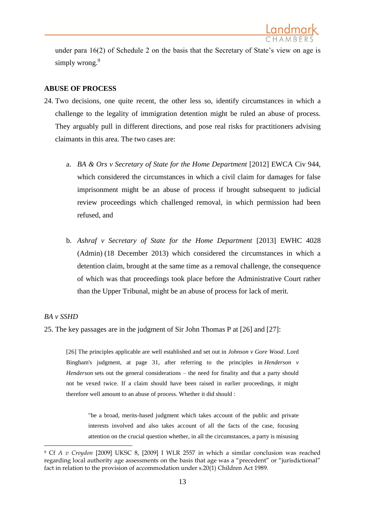

under para 16(2) of Schedule 2 on the basis that the Secretary of State's view on age is simply wrong.<sup>9</sup>

### **ABUSE OF PROCESS**

- 24. Two decisions, one quite recent, the other less so, identify circumstances in which a challenge to the legality of immigration detention might be ruled an abuse of process. They arguably pull in different directions, and pose real risks for practitioners advising claimants in this area. The two cases are:
	- a. *BA & Ors v Secretary of State for the Home Department* [2012] EWCA Civ 944, which considered the circumstances in which a civil claim for damages for false imprisonment might be an abuse of process if brought subsequent to judicial review proceedings which challenged removal, in which permission had been refused, and
	- b. *Ashraf v Secretary of State for the Home Department* [2013] EWHC 4028 (Admin) (18 December 2013) which considered the circumstances in which a detention claim, brought at the same time as a removal challenge, the consequence of which was that proceedings took place before the Administrative Court rather than the Upper Tribunal, might be an abuse of process for lack of merit.

### *BA v SSHD*

1

25. The key passages are in the judgment of Sir John Thomas P at [26] and [27]:

[26] The principles applicable are well established and set out in *Johnson v Gore Wood*. Lord Bingham's judgment, at page 31, after referring to the principles in *Henderson v Henderson* sets out the general considerations – the need for finality and that a party should not be vexed twice. If a claim should have been raised in earlier proceedings, it might therefore well amount to an abuse of process. Whether it did should :

"be a broad, merits-based judgment which takes account of the public and private interests involved and also takes account of all the facts of the case, focusing attention on the crucial question whether, in all the circumstances, a party is misusing

<sup>9</sup> Cf *A v Croydon* [2009] UKSC 8, [2009] I WLR 2557 in which a similar conclusion was reached regarding local authority age assessments on the basis that age was a "precedent" or "jurisdictional" fact in relation to the provision of accommodation under s.20(1) Children Act 1989.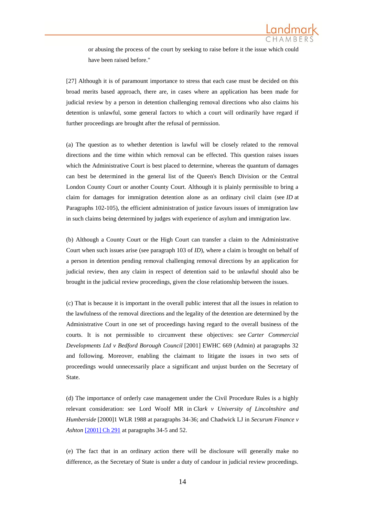

or abusing the process of the court by seeking to raise before it the issue which could have been raised before."

[27] Although it is of paramount importance to stress that each case must be decided on this broad merits based approach, there are, in cases where an application has been made for judicial review by a person in detention challenging removal directions who also claims his detention is unlawful, some general factors to which a court will ordinarily have regard if further proceedings are brought after the refusal of permission.

(a) The question as to whether detention is lawful will be closely related to the removal directions and the time within which removal can be effected. This question raises issues which the Administrative Court is best placed to determine, whereas the quantum of damages can best be determined in the general list of the Queen's Bench Division or the Central London County Court or another County Court. Although it is plainly permissible to bring a claim for damages for immigration detention alone as an ordinary civil claim (see *ID* at Paragraphs 102-105), the efficient administration of justice favours issues of immigration law in such claims being determined by judges with experience of asylum and immigration law.

(b) Although a County Court or the High Court can transfer a claim to the Administrative Court when such issues arise (see paragraph 103 of *ID*), where a claim is brought on behalf of a person in detention pending removal challenging removal directions by an application for judicial review, then any claim in respect of detention said to be unlawful should also be brought in the judicial review proceedings, given the close relationship between the issues.

(c) That is because it is important in the overall public interest that all the issues in relation to the lawfulness of the removal directions and the legality of the detention are determined by the Administrative Court in one set of proceedings having regard to the overall business of the courts. It is not permissible to circumvent these objectives: see *Carter Commercial Developments Ltd v Bedford Borough Council* [2001] EWHC 669 (Admin) at paragraphs 32 and following. Moreover, enabling the claimant to litigate the issues in two sets of proceedings would unnecessarily place a significant and unjust burden on the Secretary of State.

(d) The importance of orderly case management under the Civil Procedure Rules is a highly relevant consideration: see Lord Woolf MR in *Clark v University of Lincolnshire and Humberside* [2000]1 WLR 1988 at paragraphs 34-36; and Chadwick LJ in *Securum Finance v Ashton* [\[2001\] Ch 291](http://www.bailii.org/ew/cases/EWCA/Civ/2000/197.html) at paragraphs 34-5 and 52.

(e) The fact that in an ordinary action there will be disclosure will generally make no difference, as the Secretary of State is under a duty of candour in judicial review proceedings.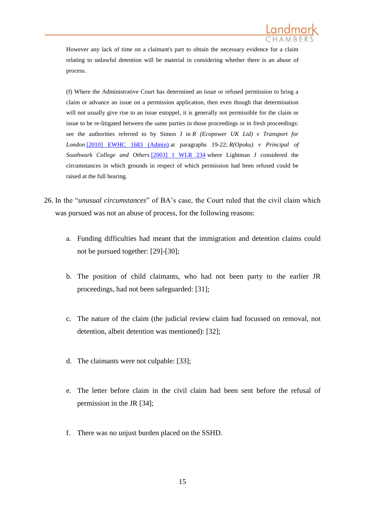

However any lack of time on a claimant's part to obtain the necessary evidence for a claim relating to unlawful detention will be material in considering whether there is an abuse of process.

(f) Where the Administrative Court has determined an issue or refused permission to bring a claim or advance an issue on a permission application, then even though that determination will not usually give rise to an issue estoppel, it is generally not permissible for the claim or issue to be re-litigated between the same parties in those proceedings or in fresh proceedings: see the authorities referred to by Simon J in *R (Ecopower UK Ltd) v Transport for London* [\[2010\] EWHC 1683 \(Admin\)](http://www.bailii.org/ew/cases/EWHC/Admin/2010/1683.html) at paragraphs 19-22; *R(Opoku) v Principal of Southwark College and Others* [\[2003\] 1 WLR 234](http://www.bailii.org/cgi-bin/redirect.cgi?path=/ew/cases/EWHC/Admin/2002/2092.html) where Lightman J considered the circumstances in which grounds in respect of which permission had been refused could be raised at the full hearing.

- 26. In the "*unusual circumstances*" of BA's case, the Court ruled that the civil claim which was pursued was not an abuse of process, for the following reasons:
	- a. Funding difficulties had meant that the immigration and detention claims could not be pursued together: [29]-[30];
	- b. The position of child claimants, who had not been party to the earlier JR proceedings, had not been safeguarded: [31];
	- c. The nature of the claim (the judicial review claim had focussed on removal, not detention, albeit detention was mentioned): [32];
	- d. The claimants were not culpable: [33];
	- e. The letter before claim in the civil claim had been sent before the refusal of permission in the JR [34];
	- f. There was no unjust burden placed on the SSHD.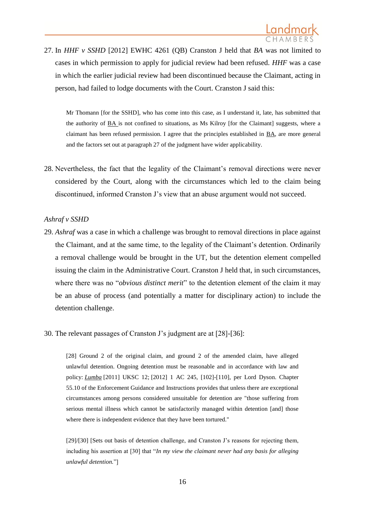

27. In *HHF v SSHD* [2012] EWHC 4261 (QB) Cranston J held that *BA* was not limited to cases in which permission to apply for judicial review had been refused. *HHF* was a case in which the earlier judicial review had been discontinued because the Claimant, acting in person, had failed to lodge documents with the Court. Cranston J said this:

Mr Thomann [for the SSHD], who has come into this case, as I understand it, late, has submitted that the authority of BA is not confined to situations, as Ms Kilroy [for the Claimant] suggests, where a claimant has been refused permission. I agree that the principles established in BA, are more general and the factors set out at paragraph 27 of the judgment have wider applicability.

28. Nevertheless, the fact that the legality of the Claimant's removal directions were never considered by the Court, along with the circumstances which led to the claim being discontinued, informed Cranston J's view that an abuse argument would not succeed.

#### *Ashraf v SSHD*

- 29. *Ashraf* was a case in which a challenge was brought to removal directions in place against the Claimant, and at the same time, to the legality of the Claimant's detention. Ordinarily a removal challenge would be brought in the UT, but the detention element compelled issuing the claim in the Administrative Court. Cranston J held that, in such circumstances, where there was no "*obvious distinct merit*" to the detention element of the claim it may be an abuse of process (and potentially a matter for disciplinary action) to include the detention challenge.
- 30. The relevant passages of Cranston J's judgment are at [28]-[36]:

[28] Ground 2 of the original claim, and ground 2 of the amended claim, have alleged unlawful detention. Ongoing detention must be reasonable and in accordance with law and policy: *Lumba* [2011] UKSC 12; [2012] 1 AC 245, [102]-[110], per Lord Dyson. Chapter 55.10 of the Enforcement Guidance and Instructions provides that unless there are exceptional circumstances among persons considered unsuitable for detention are "those suffering from serious mental illness which cannot be satisfactorily managed within detention [and] those where there is independent evidence that they have been tortured."

[29]/[30] [Sets out basis of detention challenge, and Cranston J's reasons for rejecting them, including his assertion at [30] that "*In my view the claimant never had any basis for alleging unlawful detention.*"]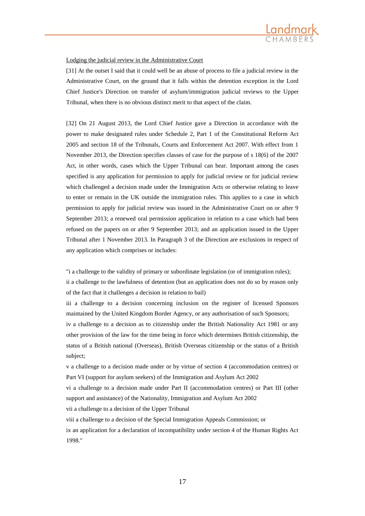

#### Lodging the judicial review in the Administrative Court

[31] At the outset I said that it could well be an abuse of process to file a judicial review in the Administrative Court, on the ground that it falls within the detention exception in the Lord Chief Justice's Direction on transfer of asylum/immigration judicial reviews to the Upper Tribunal, when there is no obvious distinct merit to that aspect of the claim.

[32] On 21 August 2013, the Lord Chief Justice gave a Direction in accordance with the power to make designated rules under Schedule 2, Part 1 of the Constitutional Reform Act 2005 and section 18 of the Tribunals, Courts and Enforcement Act 2007. With effect from 1 November 2013, the Direction specifies classes of case for the purpose of s 18(6) of the 2007 Act, in other words, cases which the Upper Tribunal can hear. Important among the cases specified is any application for permission to apply for judicial review or for judicial review which challenged a decision made under the Immigration Acts or otherwise relating to leave to enter or remain in the UK outside the immigration rules. This applies to a case in which permission to apply for judicial review was issued in the Administrative Court on or after 9 September 2013; a renewed oral permission application in relation to a case which had been refused on the papers on or after 9 September 2013; and an application issued in the Upper Tribunal after 1 November 2013. In Paragraph 3 of the Direction are exclusions in respect of any application which comprises or includes:

"i a challenge to the validity of primary or subordinate legislation (or of immigration rules); ii a challenge to the lawfulness of detention (but an application does not do so by reason only of the fact that it challenges a decision in relation to bail)

iii a challenge to a decision concerning inclusion on the register of licensed Sponsors maintained by the United Kingdom Border Agency, or any authorisation of such Sponsors; iv a challenge to a decision as to citizenship under the British Nationality Act 1981 or any other provision of the law for the time being in force which determines British citizenship, the status of a British national (Overseas), British Overseas citizenship or the status of a British subject;

v a challenge to a decision made under or by virtue of section 4 (accommodation centres) or Part VI (support for asylum seekers) of the Immigration and Asylum Act 2002

vi a challenge to a decision made under Part II (accommodation centres) or Part III (other support and assistance) of the Nationality, Immigration and Asylum Act 2002

vii a challenge to a decision of the Upper Tribunal

viii a challenge to a decision of the Special Immigration Appeals Commission; or

ix an application for a declaration of incompatibility under section 4 of the Human Rights Act 1998."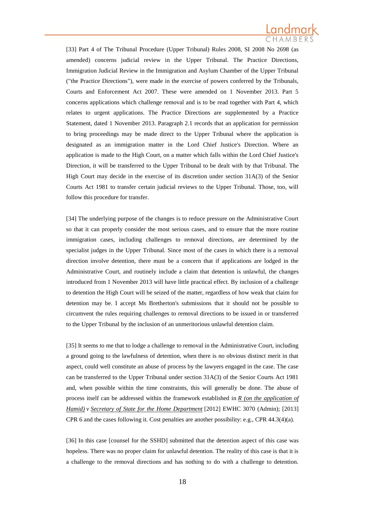

[33] Part 4 of The Tribunal Procedure (Upper Tribunal) Rules 2008, SI 2008 No 2698 (as amended) concerns judicial review in the Upper Tribunal. The Practice Directions, Immigration Judicial Review in the Immigration and Asylum Chamber of the Upper Tribunal ("the Practice Directions"), were made in the exercise of powers conferred by the Tribunals, Courts and Enforcement Act 2007. These were amended on 1 November 2013. Part 5 concerns applications which challenge removal and is to be read together with Part 4, which relates to urgent applications. The Practice Directions are supplemented by a Practice Statement, dated 1 November 2013. Paragraph 2.1 records that an application for permission to bring proceedings may be made direct to the Upper Tribunal where the application is designated as an immigration matter in the Lord Chief Justice's Direction. Where an application is made to the High Court, on a matter which falls within the Lord Chief Justice's Direction, it will be transferred to the Upper Tribunal to be dealt with by that Tribunal. The High Court may decide in the exercise of its discretion under section 31A(3) of the Senior Courts Act 1981 to transfer certain judicial reviews to the Upper Tribunal. Those, too, will follow this procedure for transfer.

[34] The underlying purpose of the changes is to reduce pressure on the Administrative Court so that it can properly consider the most serious cases, and to ensure that the more routine immigration cases, including challenges to removal directions, are determined by the specialist judges in the Upper Tribunal. Since most of the cases in which there is a removal direction involve detention, there must be a concern that if applications are lodged in the Administrative Court, and routinely include a claim that detention is unlawful, the changes introduced from 1 November 2013 will have little practical effect. By inclusion of a challenge to detention the High Court will be seized of the matter, regardless of how weak that claim for detention may be. I accept Ms Bretherton's submissions that it should not be possible to circumvent the rules requiring challenges to removal directions to be issued in or transferred to the Upper Tribunal by the inclusion of an unmeritorious unlawful detention claim.

[35] It seems to me that to lodge a challenge to removal in the Administrative Court, including a ground going to the lawfulness of detention, when there is no obvious distinct merit in that aspect, could well constitute an abuse of process by the lawyers engaged in the case. The case can be transferred to the Upper Tribunal under section 31A(3) of the Senior Courts Act 1981 and, when possible within the time constraints, this will generally be done. The abuse of process itself can be addressed within the framework established in *R (on the application of Hamid) v Secretary of State for the Home Department* [2012] EWHC 3070 (Admin); [2013] CPR 6 and the cases following it. Cost penalties are another possibility: e.g., CPR 44.3(4)(a).

[36] In this case [counsel for the SSHD] submitted that the detention aspect of this case was hopeless. There was no proper claim for unlawful detention. The reality of this case is that it is a challenge to the removal directions and has nothing to do with a challenge to detention.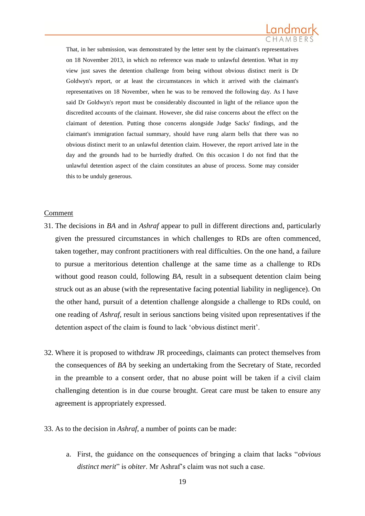

That, in her submission, was demonstrated by the letter sent by the claimant's representatives on 18 November 2013, in which no reference was made to unlawful detention. What in my view just saves the detention challenge from being without obvious distinct merit is Dr Goldwyn's report, or at least the circumstances in which it arrived with the claimant's representatives on 18 November, when he was to be removed the following day. As I have said Dr Goldwyn's report must be considerably discounted in light of the reliance upon the discredited accounts of the claimant. However, she did raise concerns about the effect on the claimant of detention. Putting those concerns alongside Judge Sacks' findings, and the claimant's immigration factual summary, should have rung alarm bells that there was no obvious distinct merit to an unlawful detention claim. However, the report arrived late in the day and the grounds had to be hurriedly drafted. On this occasion I do not find that the unlawful detention aspect of the claim constitutes an abuse of process. Some may consider this to be unduly generous.

#### Comment

- 31. The decisions in *BA* and in *Ashraf* appear to pull in different directions and, particularly given the pressured circumstances in which challenges to RDs are often commenced, taken together, may confront practitioners with real difficulties. On the one hand, a failure to pursue a meritorious detention challenge at the same time as a challenge to RDs without good reason could, following *BA*, result in a subsequent detention claim being struck out as an abuse (with the representative facing potential liability in negligence). On the other hand, pursuit of a detention challenge alongside a challenge to RDs could, on one reading of *Ashraf*, result in serious sanctions being visited upon representatives if the detention aspect of the claim is found to lack 'obvious distinct merit'.
- 32. Where it is proposed to withdraw JR proceedings, claimants can protect themselves from the consequences of *BA* by seeking an undertaking from the Secretary of State, recorded in the preamble to a consent order, that no abuse point will be taken if a civil claim challenging detention is in due course brought. Great care must be taken to ensure any agreement is appropriately expressed.
- 33. As to the decision in *Ashraf*, a number of points can be made:
	- a. First, the guidance on the consequences of bringing a claim that lacks "*obvious distinct merit*" is *obiter*. Mr Ashraf's claim was not such a case.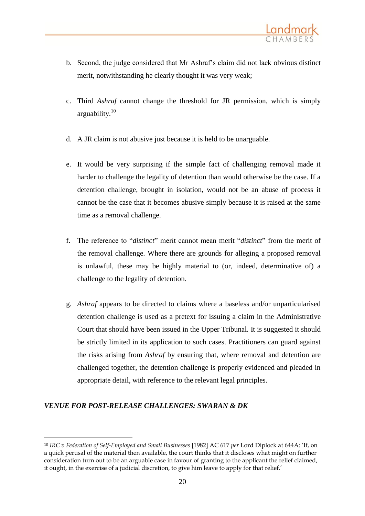- b. Second, the judge considered that Mr Ashraf's claim did not lack obvious distinct merit, notwithstanding he clearly thought it was very weak;
- c. Third *Ashraf* cannot change the threshold for JR permission, which is simply arguability. $10$
- d. A JR claim is not abusive just because it is held to be unarguable.
- e. It would be very surprising if the simple fact of challenging removal made it harder to challenge the legality of detention than would otherwise be the case. If a detention challenge, brought in isolation, would not be an abuse of process it cannot be the case that it becomes abusive simply because it is raised at the same time as a removal challenge.
- f. The reference to "*distinct*" merit cannot mean merit "*distinct*" from the merit of the removal challenge. Where there are grounds for alleging a proposed removal is unlawful, these may be highly material to (or, indeed, determinative of) a challenge to the legality of detention.
- g. *Ashraf* appears to be directed to claims where a baseless and/or unparticularised detention challenge is used as a pretext for issuing a claim in the Administrative Court that should have been issued in the Upper Tribunal. It is suggested it should be strictly limited in its application to such cases. Practitioners can guard against the risks arising from *Ashraf* by ensuring that, where removal and detention are challenged together, the detention challenge is properly evidenced and pleaded in appropriate detail, with reference to the relevant legal principles.

### *VENUE FOR POST-RELEASE CHALLENGES: SWARAN & DK*

1

<sup>10</sup> *IRC v Federation of Self-Employed and Small Businesses* [1982] AC 617 *per* Lord Diplock at 644A: 'If, on a quick perusal of the material then available, the court thinks that it discloses what might on further consideration turn out to be an arguable case in favour of granting to the applicant the relief claimed, it ought, in the exercise of a judicial discretion, to give him leave to apply for that relief.'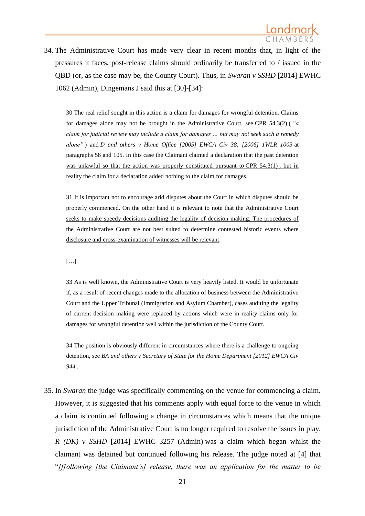

34. The Administrative Court has made very clear in recent months that, in light of the pressures it faces, post-release claims should ordinarily be transferred to / issued in the QBD (or, as the case may be, the County Court). Thus, in *Swaran v SSHD* [2014] EWHC 1062 (Admin), Dingemans J said this at [30]-[34]:

30 The real relief sought in this action is a claim for damages for wrongful detention. Claims for damages alone may not be brought in the Administrative Court, see CPR 54.3(2) ( *"a claim for judicial review may include a claim for damages … but may not seek such a remedy alone"* ) and *D and others v Home Office [2005] EWCA Civ 38; [2006] 1WLR 1003* at paragraphs 58 and 105. In this case the Claimant claimed a declaration that the past detention was unlawful so that the action was properly constituted pursuant to CPR 54.3(1), but in reality the claim for a declaration added nothing to the claim for damages.

31 It is important not to encourage arid disputes about the Court in which disputes should be properly commenced. On the other hand it is relevant to note that the Administrative Court seeks to make speedy decisions auditing the legality of decision making. The procedures of the Administrative Court are not best suited to determine contested historic events where disclosure and cross-examination of witnesses will be relevant.

[…]

33 As is well known, the Administrative Court is very heavily listed. It would be unfortunate if, as a result of recent changes made to the allocation of business between the Administrative Court and the Upper Tribunal (Immigration and Asylum Chamber), cases auditing the legality of current decision making were replaced by actions which were in reality claims only for damages for wrongful detention well within the jurisdiction of the County Court.

34 The position is obviously different in circumstances where there is a challenge to ongoing detention, see *BA and others v Secretary of State for the Home Department [2012] EWCA Civ 944* .

35. In *Swaran* the judge was specifically commenting on the venue for commencing a claim. However, it is suggested that his comments apply with equal force to the venue in which a claim is continued following a change in circumstances which means that the unique jurisdiction of the Administrative Court is no longer required to resolve the issues in play. *R (DK) v SSHD* [2014] EWHC 3257 (Admin) was a claim which began whilst the claimant was detained but continued following his release. The judge noted at [4] that "*[f]ollowing [the Claimant's] release, there was an application for the matter to be*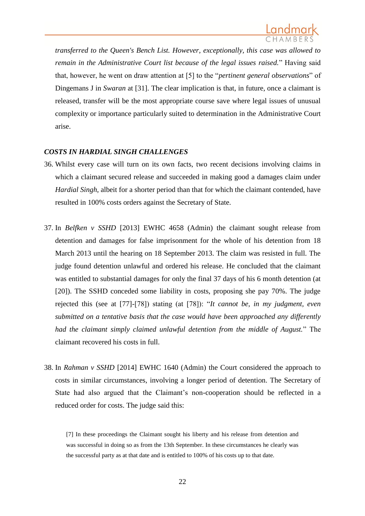*transferred to the Queen's Bench List. However, exceptionally, this case was allowed to remain in the Administrative Court list because of the legal issues raised.*" Having said that, however, he went on draw attention at [5] to the "*pertinent general observations*" of Dingemans J in *Swaran* at [31]. The clear implication is that, in future, once a claimant is released, transfer will be the most appropriate course save where legal issues of unusual complexity or importance particularly suited to determination in the Administrative Court arise.

### *COSTS IN HARDIAL SINGH CHALLENGES*

- 36. Whilst every case will turn on its own facts, two recent decisions involving claims in which a claimant secured release and succeeded in making good a damages claim under *Hardial Singh*, albeit for a shorter period than that for which the claimant contended, have resulted in 100% costs orders against the Secretary of State.
- 37. In *Belfken v SSHD* [2013] EWHC 4658 (Admin) the claimant sought release from detention and damages for false imprisonment for the whole of his detention from 18 March 2013 until the hearing on 18 September 2013. The claim was resisted in full. The judge found detention unlawful and ordered his release. He concluded that the claimant was entitled to substantial damages for only the final 37 days of his 6 month detention (at [20]). The SSHD conceded some liability in costs, proposing she pay 70%. The judge rejected this (see at [77]-[78]) stating (at [78]): "*It cannot be, in my judgment, even submitted on a tentative basis that the case would have been approached any differently had the claimant simply claimed unlawful detention from the middle of August.*" The claimant recovered his costs in full.
- 38. In *Rahman v SSHD* [2014] EWHC 1640 (Admin) the Court considered the approach to costs in similar circumstances, involving a longer period of detention. The Secretary of State had also argued that the Claimant's non-cooperation should be reflected in a reduced order for costs. The judge said this:

[7] In these proceedings the Claimant sought his liberty and his release from detention and was successful in doing so as from the 13th September. In these circumstances he clearly was the successful party as at that date and is entitled to 100% of his costs up to that date.